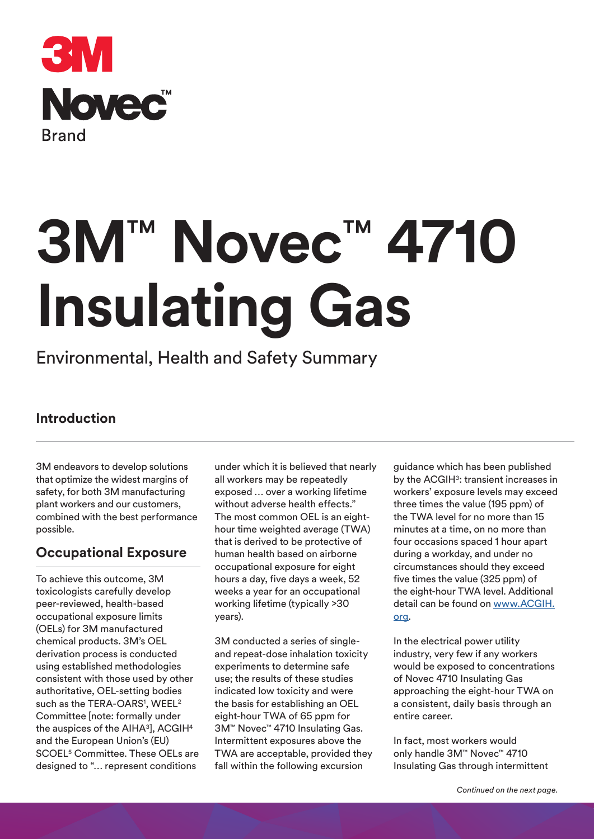

# **3M**™ **Novec**™ **4710 Insulating Gas**

## Environmental, Health and Safety Summary

## **Introduction**

3M endeavors to develop solutions that optimize the widest margins of safety, for both 3M manufacturing plant workers and our customers, combined with the best performance possible.

## **Occupational Exposure**

To achieve this outcome, 3M toxicologists carefully develop peer-reviewed, health-based occupational exposure limits (OELs) for 3M manufactured chemical products. 3M's OEL derivation process is conducted using established methodologies consistent with those used by other authoritative, OEL-setting bodies such as the TERA-OARS<sup>1</sup>, WEEL<sup>2</sup> Committee [note: formally under the auspices of the AIHA<sup>3</sup>], ACGIH<sup>4</sup> and the European Union's (EU) SCOEL5 Committee. These OELs are designed to "… represent conditions

under which it is believed that nearly all workers may be repeatedly exposed … over a working lifetime without adverse health effects." The most common OEL is an eighthour time weighted average (TWA) that is derived to be protective of human health based on airborne occupational exposure for eight hours a day, five days a week, 52 weeks a year for an occupational working lifetime (typically >30 years).

3M conducted a series of singleand repeat-dose inhalation toxicity experiments to determine safe use; the results of these studies indicated low toxicity and were the basis for establishing an OEL eight-hour TWA of 65 ppm for 3M™ Novec™ 4710 Insulating Gas. Intermittent exposures above the TWA are acceptable, provided they fall within the following excursion

guidance which has been published by the ACGIH<sup>3</sup>: transient increases in workers' exposure levels may exceed three times the value (195 ppm) of the TWA level for no more than 15 minutes at a time, on no more than four occasions spaced 1 hour apart during a workday, and under no circumstances should they exceed five times the value (325 ppm) of the eight-hour TWA level. Additional detail can be found on www.ACGIH. org.

In the electrical power utility industry, very few if any workers would be exposed to concentrations of Novec 4710 Insulating Gas approaching the eight-hour TWA on a consistent, daily basis through an entire career.

In fact, most workers would only handle 3M™ Novec™ 4710 Insulating Gas through intermittent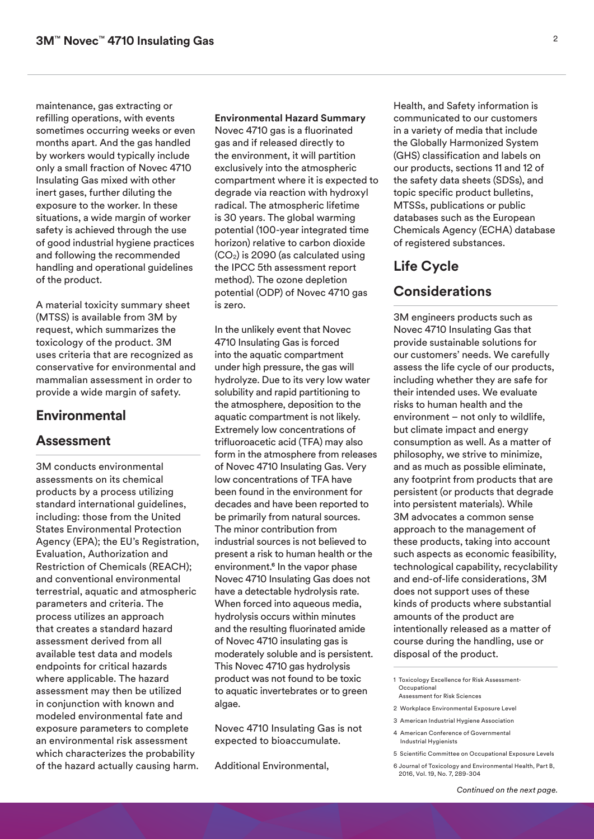maintenance, gas extracting or refilling operations, with events sometimes occurring weeks or even months apart. And the gas handled by workers would typically include only a small fraction of Novec 4710 Insulating Gas mixed with other inert gases, further diluting the exposure to the worker. In these situations, a wide margin of worker safety is achieved through the use of good industrial hygiene practices and following the recommended handling and operational guidelines of the product.

A material toxicity summary sheet (MTSS) is available from 3M by request, which summarizes the toxicology of the product. 3M uses criteria that are recognized as conservative for environmental and mammalian assessment in order to provide a wide margin of safety.

#### **Environmental**

#### **Assessment**

3M conducts environmental assessments on its chemical products by a process utilizing standard international guidelines, including: those from the United States Environmental Protection Agency (EPA); the EU's Registration, Evaluation, Authorization and Restriction of Chemicals (REACH); and conventional environmental terrestrial, aquatic and atmospheric parameters and criteria. The process utilizes an approach that creates a standard hazard assessment derived from all available test data and models endpoints for critical hazards where applicable. The hazard assessment may then be utilized in conjunction with known and modeled environmental fate and exposure parameters to complete an environmental risk assessment which characterizes the probability of the hazard actually causing harm.

**Environmental Hazard Summary** Novec 4710 gas is a fluorinated gas and if released directly to the environment, it will partition exclusively into the atmospheric compartment where it is expected to degrade via reaction with hydroxyl radical. The atmospheric lifetime is 30 years. The global warming potential (100-year integrated time horizon) relative to carbon dioxide  $(CO<sub>2</sub>)$  is 2090 (as calculated using the IPCC 5th assessment report method). The ozone depletion potential (ODP) of Novec 4710 gas is zero.

In the unlikely event that Novec 4710 Insulating Gas is forced into the aquatic compartment under high pressure, the gas will hydrolyze. Due to its very low water solubility and rapid partitioning to the atmosphere, deposition to the aquatic compartment is not likely. Extremely low concentrations of trifluoroacetic acid (TFA) may also form in the atmosphere from releases of Novec 4710 Insulating Gas. Very low concentrations of TFA have been found in the environment for decades and have been reported to be primarily from natural sources. The minor contribution from industrial sources is not believed to present a risk to human health or the environment.<sup>6</sup> In the vapor phase Novec 4710 Insulating Gas does not have a detectable hydrolysis rate. When forced into aqueous media, hydrolysis occurs within minutes and the resulting fluorinated amide of Novec 4710 insulating gas is moderately soluble and is persistent. This Novec 4710 gas hydrolysis product was not found to be toxic to aquatic invertebrates or to green algae.

Novec 4710 Insulating Gas is not expected to bioaccumulate.

Additional Environmental,

Health, and Safety information is communicated to our customers in a variety of media that include the Globally Harmonized System (GHS) classification and labels on our products, sections 11 and 12 of the safety data sheets (SDSs), and topic specific product bulletins, MTSSs, publications or public databases such as the European Chemicals Agency (ECHA) database of registered substances.

## **Life Cycle Considerations**

#### 3M engineers products such as Novec 4710 Insulating Gas that provide sustainable solutions for our customers' needs. We carefully assess the life cycle of our products, including whether they are safe for their intended uses. We evaluate risks to human health and the environment – not only to wildlife, but climate impact and energy consumption as well. As a matter of philosophy, we strive to minimize, and as much as possible eliminate, any footprint from products that are persistent (or products that degrade into persistent materials). While 3M advocates a common sense approach to the management of these products, taking into account such aspects as economic feasibility, technological capability, recyclability and end-of-life considerations, 3M does not support uses of these kinds of products where substantial amounts of the product are intentionally released as a matter of course during the handling, use or disposal of the product.

- 1 Toxicology Excellence for Risk Assessment-**Occupational** Assessment for Risk Sciences
- 
- 2 Workplace Environmental Exposure Level
- 3 American Industrial Hygiene Association
- 4 American Conference of Governmental Industrial Hygienists
- 5 Scientific Committee on Occupational Exposure Levels
- 6 Journal of Toxicology and Environmental Health, Part B, 2016, Vol. 19, No. 7, 289-304